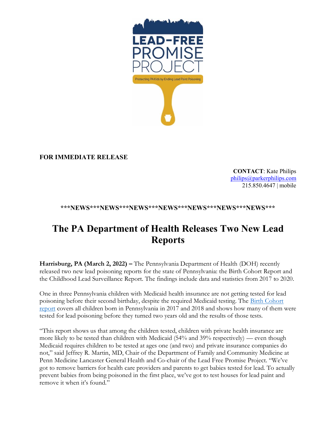

## **FOR IMMEDIATE RELEASE**

**CONTACT**: Kate Philips [philips@parkerphilips.com](mailto:philips@parkerphilips.com) 215.850.4647 | mobile

## **\*\*\*NEWS\*\*\*NEWS\*\*\*NEWS\*\*\*NEWS\*\*\*NEWS\*\*\*NEWS\*\*\*NEWS\*\*\***

## **The PA Department of Health Releases Two New Lead Reports**

**Harrisburg, PA (March 2, 2022) –** The Pennsylvania Department of Health (DOH) recently released two new lead poisoning reports for the state of Pennsylvania: the Birth Cohort Report and the Childhood Lead Surveillance Report. The findings include data and statistics from 2017 to 2020.

One in three Pennsylvania children with Medicaid health insurance are not getting tested for lead poisoning before their second birthday, despite the required Medicaid testing. The [Birth Cohort](https://www.health.pa.gov/topics/Documents/Environmental%20Health/Childhood%20Lead%20Testing%20and%20Poisoning%20Report%202017%20and%202018%20Pennsylvania%20Birth%20Cohort%20Analysis.pdf)  [report](https://www.health.pa.gov/topics/Documents/Environmental%20Health/Childhood%20Lead%20Testing%20and%20Poisoning%20Report%202017%20and%202018%20Pennsylvania%20Birth%20Cohort%20Analysis.pdf) covers all children born in Pennsylvania in 2017 and 2018 and shows how many of them were tested for lead poisoning before they turned two years old and the results of those tests.

"This report shows us that among the children tested, children with private health insurance are more likely to be tested than children with Medicaid (54% and 39% respectively) — even though Medicaid requires children to be tested at ages one (and two) and private insurance companies do not," said Jeffrey R. Martin, MD, Chair of the Department of Family and Community Medicine at Penn Medicine Lancaster General Health and Co-chair of the Lead Free Promise Project. "We've got to remove barriers for health care providers and parents to get babies tested for lead. To actually prevent babies from being poisoned in the first place, we've got to test houses for lead paint and remove it when it's found."